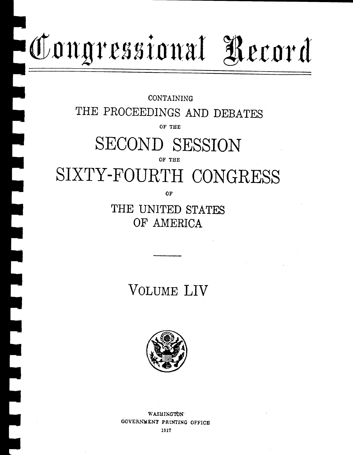# Congressional Record

#### CONTAINING

THE PROCEEDINGS AND DEBATES

OF THE

### SECOND SESSION

OF THE

## SIXTY-FOURTH CONGRESS

OF

THE UNITED STATES OF AMERICA

#### VOLUME LIV

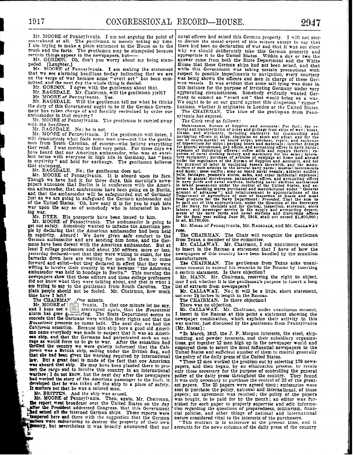Mr. MOORE of Pennsylvania. I am not arguing the point of contraband at all. The gentleman is merely taking my time. I am trying to make a plain statement to the House as to the truth and the facts. The gentleman may be stampeded because<br>certain things appear in the newspapers, but-

Mr. GORDON. Oh, don't you worry about my being stampeded. [Laughter.]

Mr. MOORE of Pennsylvania. I am making the statement that we see alarming headlines to-day indicating that we are on the verge of war because some "overt act" has been committed, and the next day the whole thing is denied.

Mr. GORDON. I agree with the gentleman about that.

Mr. RAGSDALE. Mr. Chairman, will the gentleman yield?

Mr. MOORE of Pennsylvania. Yes.

Mr. RAGSDALE. Will the gentleman tell me what he thinks the duty of this Government ought to be if the German Government has taken charge of and forcibly restrained by order our ambassador in that country?

Mr. MOORE of Pennsylvania. The gentleman is carried away with the headlines.

Mr. RAGSDALE. No; he is not.

Mr. MOORE of Pennsylvania. If the gentleman will listen, I will demonstrate what fools some men are-not like the gentleman from South Carolina, of course—who believe everything they read. I was coming to that very point. For three days we have heard that our American ambassador, who was on excellent terms with everyone in high life in Germany, has "been in captivity" and held for exchange. The gentleman believes that statement.

Mr. RAGSDALE. No; the gentleman does not.

Mr. MOORE of Pennsylvania. It is absurd upon its face. Though we have had it for three days, this morning's news-papers announce that Berlin is in conference with the American ambassador, that conferences have been going on in Berlin, and that the ambassador will be safeguarded out of Germany just as we are going to safeguard the German ambassador out of the United States. 'Oh, how easy it is for you to rush into war upon the say so of somebody who is interested in having war.

Mr. DTER. His passports have been issued to him.<br>Mr. NOORE of Pennsylvania. The ambassador is going to<br>get out safely. Somebody wanted to inflame the American people by declaring that the American ambassador had been held German ambassador and are sending him home, and the Germans have been decent with the American ambassador. But at least 2 college professors and about 150 editors, more or less, yesterday declared-not that they were willing to enlist, for the barracks down here are waiting for men like them to come forward and enlist—but they declared in effect that they were ambassador was held in bondage in Berlin." This morning the newspapers show that those editors and those college professors did not know what they were talking about, and that is what I am trying to say to the gentleman from South Carolina. The plain people should not be fooled. Mr. Chairman, how much time have I left?

The CHAIRMAN. One minute.

Mr. MOORE of Pennsylvania. In that one minute let me say, and I hope not to be interrupted again, that the Housaionic alarm has gone glimmering. The State Department seems to concede that the Germans were within their rights and that the Howatonic presents no casus belli. The next day we had the California sensation. Because this ship bore a good old American name everybody was made to suspect that it was an American ship, and that the Germans had perpetrated such an outrate as would force us to go to war. After the sensation had thrilled the country we were quietly informed that the California was a British ship, sailing under the British flag, and that she had been given the warning required by international law. But a great deal is made of the fact that one American was aboard that ship. He may have been planted there to protect the cargo and to involve this country in an international warfare; I do not know, but the next day after the newspapers had worked the story of the American passenger to the limit, it developed that he was taken off the ship to a place of safety. It matters not that he was a colored man.

Mr. BRITTEN. And the ship was armed.

, N

Mr. MOORE of Pennsylvania. Then, again, Mr. Chairman, the report went broadcast over the United States on the day after the President addressed Congress, that this Government Allier the Fresheim montested Cerman ships. These reports were tempered here and there with the suggestion that the German patients were endeavoring to destroy the property of their own sountry, but nevertheless it was broadly announced that our

naval officers had seized this German property. I will not stop to discuss the moral aspect of this seizure except to say that there had been no declaration of war and that it was not clear why we should deliberately take this German property and appropriate it to the United States. Within a day or two the answer came from both the State Department and the White House that these German ships had not been seized, and that while this Government was taking certain precautions with respect to possible impediments to navigation, every courtesy was being shown the officers and men in charge of these German vessels. It was evident that some tall lying was done in this instance for the purpose of irritating Germany under very aggravating circumstances. Somebody evidently wanted Germany to commit an "overt act" that would bring on a war. We ought to be on our guard against this dangerous "rumor" business, whether it originates in London or the United States.

The CHAIRMAN. The time of the gentleman from Pennsylvania has expired.

The Clerk read as follows:

Symman has expired.<br>
The Clerk red as follows:<br>
Harbitannece, Further of a follows:<br>
Maintenance, Further of Supplies and Accounts: For foel; the re-<br>
mountaing different from a halo strainer of substants and direction<br>
i

Mr. MOORE of Pennsylvania, Mr. RAGSDALE, and Mr. CALLAWAY rose.

The CHAIRMAN. The Chair will recognize the gentleman from Texas, a member of the committee.

Mr. CALLAWAY. Mr. Chairman, I ask unnnimous consent to insert in the RECORD a statement that I have of how the newspapers of this country have been handled by the munition manufacturers

The CHAIRMAN. The gentleman from Texas asks unanimous consent to extend his remarks in the RECORD by inserting a certain statement. Is there objection?

Mr. MANN. Mr. Chairman, reserving the right to object, may I ask whether it is the gentleman's purpose to insert a long list of extracts from newspapers?

Mr. CALLAWAY. No; it will be a little, short statement, not over 2} inches in length in the RECORD.

The CHAIRMAN. Is there objection?

There was no objection.

Mr. CALLAWAY. Mr. Chairman, under unanimous consent, I insert in the RECORD at this point a statement showing the newspaper combination, which explains their activity in this war matter, just discussed by the gentleman from Pennsylvania [Mr. MOORE]:

"In March, 1915, the J. P. Morgan interests, the steel, shipbuilding, and powder interests, and their subsidiary organizations, got together 12 men high up in the newspaper world and employed them to select the most influential newspapers in the United States and sufficient number of them to control generally the policy of the daily press of the United States.

These 12 men worked the problem out by selecting 179 newspapers, and then began, by an elimination process, to retain only those necessary for the purpose of controlling the general policy of the daily press throughout the country. They found it was only necessary to purchase the control of 25 of the greatest papers. The 25 papers were agreed upon; emissaries were sent to purchase the policy, national and international, of these papers; an agreement was reached; the policy of the papers was bought, to be paid for by the month; an editor was furnished for each paper to properly supervise and edit information regarding the questions of preparedness, militarism, financial policies, and other things of national and international nature considered vital to the interests of the purchasers.

"This contract is in existence at the present time, and it accounts for the news columns of the daily press of the country